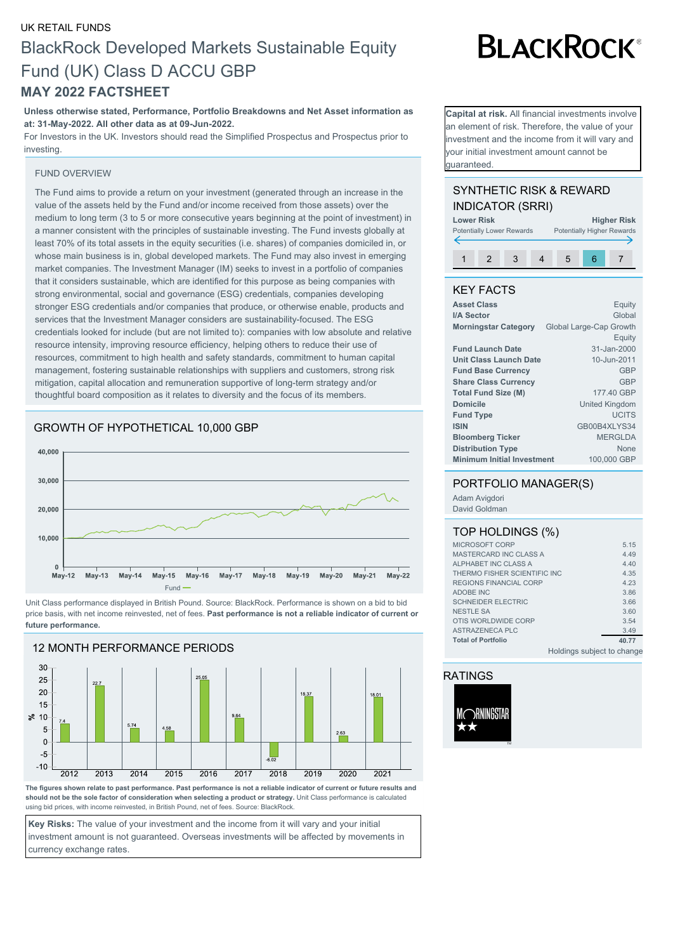### UK RETAIL FUNDS BlackRock Developed Markets Sustainable Equity Fund (UK) Class D ACCU GBP **MAY 2022 FACTSHEET**

**Unless otherwise stated, Performance, Portfolio Breakdowns and Net Asset information as at: 31-May-2022. All other data as at 09-Jun-2022.**

For Investors in the UK. Investors should read the Simplified Prospectus and Prospectus prior to investing.

#### FUND OVERVIEW

The Fund aims to provide a return on your investment (generated through an increase in the value of the assets held by the Fund and/or income received from those assets) over the medium to long term (3 to 5 or more consecutive years beginning at the point of investment) in a manner consistent with the principles of sustainable investing. The Fund invests globally at least 70% of its total assets in the equity securities (i.e. shares) of companies domiciled in, or whose main business is in, global developed markets. The Fund may also invest in emerging market companies. The Investment Manager (IM) seeks to invest in a portfolio of companies that it considers sustainable, which are identified for this purpose as being companies with strong environmental, social and governance (ESG) credentials, companies developing stronger ESG credentials and/or companies that produce, or otherwise enable, products and services that the Investment Manager considers are sustainability-focused. The ESG credentials looked for include (but are not limited to): companies with low absolute and relative resource intensity, improving resource efficiency, helping others to reduce their use of resources, commitment to high health and safety standards, commitment to human capital management, fostering sustainable relationships with suppliers and customers, strong risk mitigation, capital allocation and remuneration supportive of long-term strategy and/or thoughtful board composition as it relates to diversity and the focus of its members.

#### GROWTH OF HYPOTHETICAL 10,000 GBP



Unit Class performance displayed in British Pound. Source: BlackRock. Performance is shown on a bid to bid price basis, with net income reinvested, net of fees. **Past performance is not a reliable indicator of current or future performance.**



**The figures shown relate to past performance. Past performance is not a reliable indicator of current or future results and should not be the sole factor of consideration when selecting a product or strategy.** Unit Class performance is calculated using bid prices, with income reinvested, in British Pound, net of fees. Source: BlackRock.

**Key Risks:** The value of your investment and the income from it will vary and your initial investment amount is not guaranteed. Overseas investments will be affected by movements in currency exchange rates.

# **BLACKROCK®**

**Capital at risk.** All financial investments involve an element of risk. Therefore, the value of your nvestment and the income from it will vary and your initial investment amount cannot be guaranteed.

#### SYNTHETIC RISK & REWARD INDICATOR (SRRI)



#### KEY FACTS

| <b>Asset Class</b>                | Equity                  |
|-----------------------------------|-------------------------|
| I/A Sector                        | Global                  |
| <b>Morningstar Category</b>       | Global Large-Cap Growth |
|                                   | Equity                  |
| <b>Fund Launch Date</b>           | 31-Jan-2000             |
| <b>Unit Class Launch Date</b>     | 10-Jun-2011             |
| <b>Fund Base Currency</b>         | GBP                     |
| <b>Share Class Currency</b>       | GBP                     |
| <b>Total Fund Size (M)</b>        | 177.40 GBP              |
| <b>Domicile</b>                   | <b>United Kingdom</b>   |
| <b>Fund Type</b>                  | <b>UCITS</b>            |
| <b>ISIN</b>                       | GB00B4XLYS34            |
| <b>Bloomberg Ticker</b>           | <b>MERGLDA</b>          |
| <b>Distribution Type</b>          | None                    |
| <b>Minimum Initial Investment</b> | 100,000 GBP             |

#### PORTFOLIO MANAGER(S)

Adam Avigdori David Goldman

#### TOP HOLDINGS (%)

| MICROSOFT CORP                |                            | 5.15  |
|-------------------------------|----------------------------|-------|
| MASTERCARD INC CLASS A        |                            | 4.49  |
| ALPHABET INC CLASS A          |                            | 4.40  |
| THERMO FISHER SCIENTIFIC INC. |                            | 4.35  |
| REGIONS FINANCIAL CORP        |                            | 4.23  |
| ADOBE INC                     |                            | 3.86  |
| <b>SCHNEIDER ELECTRIC</b>     |                            | 3.66  |
| <b>NESTLE SA</b>              |                            | 3.60  |
| OTIS WORLDWIDE CORP           |                            | 3.54  |
| ASTRAZENECA PLC               |                            | 3.49  |
| <b>Total of Portfolio</b>     |                            | 40.77 |
|                               | Holdings subject to change |       |

#### RATINGS

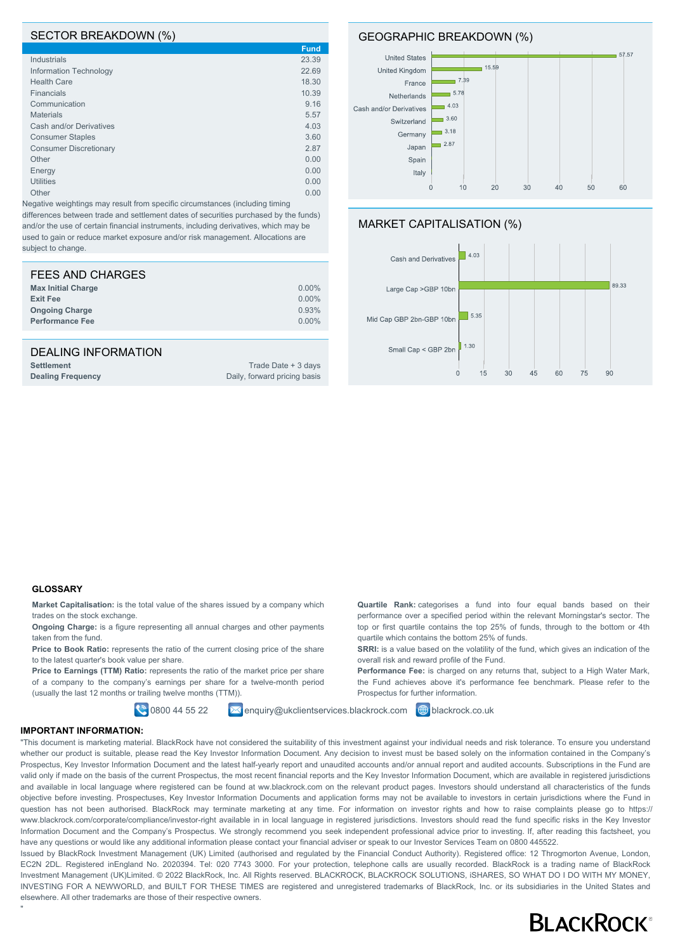#### SECTOR BREAKDOWN (%)

|                               | <b>Fund</b> |
|-------------------------------|-------------|
| Industrials                   | 23.39       |
| Information Technology        | 22.69       |
| <b>Health Care</b>            | 18.30       |
| <b>Financials</b>             | 10.39       |
| Communication                 | 9.16        |
| <b>Materials</b>              | 5.57        |
| Cash and/or Derivatives       | 4.03        |
| <b>Consumer Staples</b>       | 3.60        |
| <b>Consumer Discretionary</b> | 2.87        |
| Other                         | 0.00        |
| Energy                        | 0.00        |
| <b>Utilities</b>              | 0.00        |
| Other                         | 0.00        |

Negative weightings may result from specific circumstances (including timing differences between trade and settlement dates of securities purchased by the funds) and/or the use of certain financial instruments, including derivatives, which may be used to gain or reduce market exposure and/or risk management. Allocations are subject to change.

| FEES AND CHARGES          |          |
|---------------------------|----------|
| <b>Max Initial Charge</b> | $0.00\%$ |
| <b>Exit Fee</b>           | $0.00\%$ |
| <b>Ongoing Charge</b>     | 0.93%    |
| <b>Performance Fee</b>    | $0.00\%$ |
|                           |          |

#### DEALING INFORMATION

| <b>Settlement</b>        | Trade Date + 3 days          |
|--------------------------|------------------------------|
| <b>Dealing Frequency</b> | Daily, forward pricing basis |

#### GEOGRAPHIC BREAKDOWN (%)



#### MARKET CAPITALISATION (%)



**Quartile Rank:** categorises a fund into four equal bands based on their performance over a specified period within the relevant Morningstar's sector. The top or first quartile contains the top 25% of funds, through to the bottom or 4th

**SRRI:** is a value based on the volatility of the fund, which gives an indication of the

**Performance Fee:** is charged on any returns that, subject to a High Water Mark. the Fund achieves above it's performance fee benchmark. Please refer to the

quartile which contains the bottom 25% of funds.

overall risk and reward profile of the Fund.

Prospectus for further information.

#### **GLOSSARY**

**Market Capitalisation:** is the total value of the shares issued by a company which trades on the stock exchange.

**Ongoing Charge:** is a figure representing all annual charges and other payments taken from the fund.

**Price to Book Ratio:** represents the ratio of the current closing price of the share to the latest quarter's book value per share.

Price to Earnings (TTM) Ratio: represents the ratio of the market price per share of a company to the company's earnings per share for a twelve-month period (usually the last 12 months or trailing twelve months (TTM)).

0800 44 55 22 **X** enquiry@ukclientservices.blackrock.com **@** blackrock.co.uk

#### **IMPORTANT INFORMATION:**

"

"This document is marketing material. BlackRock have not considered the suitability of this investment against your individual needs and risk tolerance. To ensure you understand whether our product is suitable, please read the Key Investor Information Document. Any decision to invest must be based solely on the information contained in the Company's Prospectus, Key Investor Information Document and the latest half-yearly report and unaudited accounts and/or annual report and audited accounts. Subscriptions in the Fund are valid only if made on the basis of the current Prospectus, the most recent financial reports and the Key Investor Information Document, which are available in registered jurisdictions and available in local language where registered can be found at ww.blackrock.com on the relevant product pages. Investors should understand all characteristics of the funds objective before investing. Prospectuses, Key Investor Information Documents and application forms may not be available to investors in certain jurisdictions where the Fund in question has not been authorised. BlackRock may terminate marketing at any time. For information on investor rights and how to raise complaints please go to https:// www.blackrock.com/corporate/compliance/investor-right available in in local language in registered jurisdictions. Investors should read the fund specific risks in the Key Investor Information Document and the Company's Prospectus. We strongly recommend you seek independent professional advice prior to investing. If, after reading this factsheet, you have any questions or would like any additional information please contact your financial adviser or speak to our Investor Services Team on 0800 445522.

Issued by BlackRock Investment Management (UK) Limited (authorised and regulated by the Financial Conduct Authority). Registered office: 12 Throgmorton Avenue, London, EC2N 2DL. Registered inEngland No. 2020394. Tel: 020 7743 3000. For your protection, telephone calls are usually recorded. BlackRock is a trading name of BlackRock Investment Management (UK)Limited. © 2022 BlackRock, Inc. All Rights reserved. BLACKROCK, BLACKROCK SOLUTIONS, iSHARES, SO WHAT DO I DO WITH MY MONEY, INVESTING FOR A NEWWORLD, and BUILT FOR THESE TIMES are registered and unregistered trademarks of BlackRock, Inc. or its subsidiaries in the United States and elsewhere. All other trademarks are those of their respective owners.